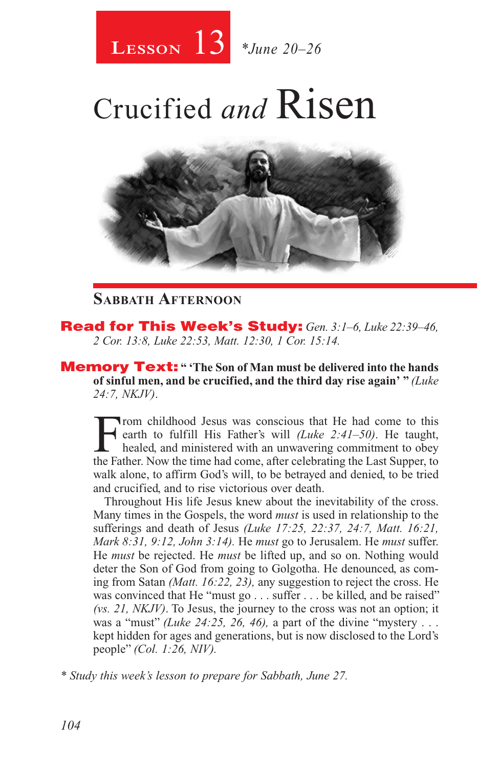

# Crucified *and* Risen



#### **Sabbath Afternoon**

Read for This Week's Study: *Gen. 3:1–6, Luke 22:39–46, 2 Cor. 13:8, Luke 22:53, Matt. 12:30, 1 Cor. 15:14.*

Memory Text: **" 'The Son of Man must be delivered into the hands of sinful men, and be crucified, and the third day rise again' "** *(Luke 24:7, NKJV)*.

From childhood Jesus was conscious that He had come to this<br>earth to fulfill His Father's will *(Luke 2:41–50)*. He taught,<br>healed, and ministered with an unwavering commitment to obey<br>the Eather Now the time had come, af earth to fulfill His Father's will *(Luke 2:41–50)*. He taught, healed, and ministered with an unwavering commitment to obey the Father. Now the time had come, after celebrating the Last Supper, to walk alone, to affirm God's will, to be betrayed and denied, to be tried and crucified, and to rise victorious over death.

Throughout His life Jesus knew about the inevitability of the cross. Many times in the Gospels, the word *must* is used in relationship to the sufferings and death of Jesus *(Luke 17:25, 22:37, 24:7, Matt. 16:21, Mark 8:31, 9:12, John 3:14).* He *must* go to Jerusalem. He *must* suffer. He *must* be rejected. He *must* be lifted up, and so on. Nothing would deter the Son of God from going to Golgotha. He denounced, as coming from Satan *(Matt. 16:22, 23),* any suggestion to reject the cross. He was convinced that He "must go . . . suffer . . . be killed, and be raised" *(vs. 21, NKJV)*. To Jesus, the journey to the cross was not an option; it was a "must" *(Luke 24:25, 26, 46),* a part of the divine "mystery . . . kept hidden for ages and generations, but is now disclosed to the Lord's people" *(Col. 1:26, NIV).*

*\* Study this week's lesson to prepare for Sabbath, June 27.*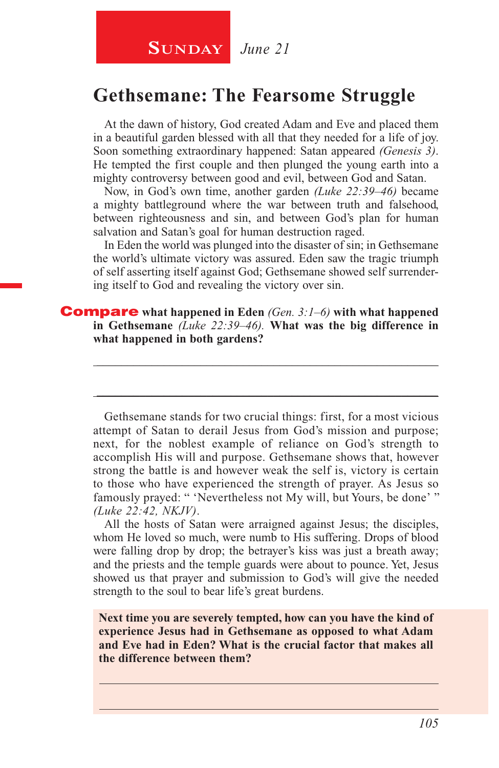**SUNDAY** *June 21* 

### **Gethsemane: The Fearsome Struggle**

At the dawn of history, God created Adam and Eve and placed them in a beautiful garden blessed with all that they needed for a life of joy. Soon something extraordinary happened: Satan appeared *(Genesis 3)*. He tempted the first couple and then plunged the young earth into a mighty controversy between good and evil, between God and Satan.

Now, in God's own time, another garden *(Luke 22:39–46)* became a mighty battleground where the war between truth and falsehood, between righteousness and sin, and between God's plan for human salvation and Satan's goal for human destruction raged.

In Eden the world was plunged into the disaster of sin; in Gethsemane the world's ultimate victory was assured. Eden saw the tragic triumph of self asserting itself against God; Gethsemane showed self surrendering itself to God and revealing the victory over sin.

**\_\_\_\_\_\_\_\_\_\_\_\_\_\_\_\_\_\_\_\_\_\_\_\_\_\_\_\_\_\_\_\_\_\_\_\_\_\_\_\_\_\_\_\_\_\_\_\_\_\_\_\_\_\_\_\_**

\_\_\_\_\_\_\_\_\_\_\_\_\_\_\_\_\_\_\_\_\_\_\_\_\_\_\_\_\_\_\_\_\_\_\_\_\_\_\_\_\_\_\_\_\_\_\_\_\_\_\_\_\_\_\_\_

#### Compare **what happened in Eden** *(Gen. 3:1–6)* **with what happened in Gethsemane** *(Luke 22:39–46).* **What was the big difference in what happened in both gardens?**

Gethsemane stands for two crucial things: first, for a most vicious attempt of Satan to derail Jesus from God's mission and purpose; next, for the noblest example of reliance on God's strength to accomplish His will and purpose. Gethsemane shows that, however strong the battle is and however weak the self is, victory is certain to those who have experienced the strength of prayer. As Jesus so famously prayed: " 'Nevertheless not My will, but Yours, be done' " *(Luke 22:42, NKJV)*.

All the hosts of Satan were arraigned against Jesus; the disciples, whom He loved so much, were numb to His suffering. Drops of blood were falling drop by drop; the betrayer's kiss was just a breath away; and the priests and the temple guards were about to pounce. Yet, Jesus showed us that prayer and submission to God's will give the needed strength to the soul to bear life's great burdens.

**Next time you are severely tempted, how can you have the kind of experience Jesus had in Gethsemane as opposed to what Adam and Eve had in Eden? What is the crucial factor that makes all the difference between them?**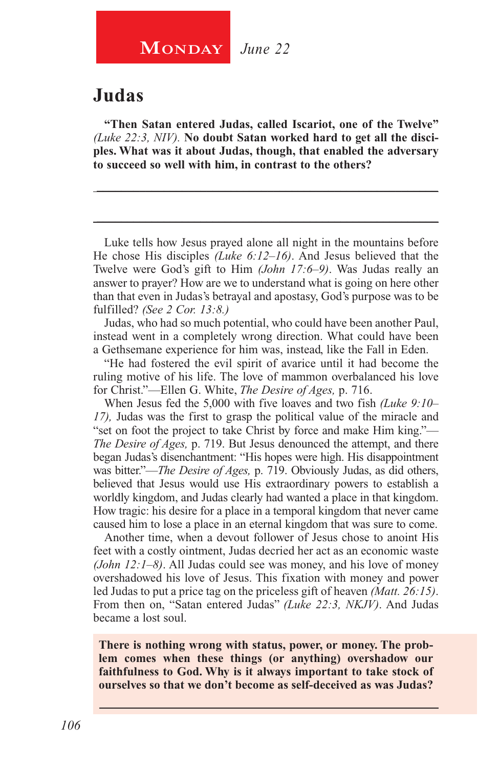#### **Judas**

**"Then Satan entered Judas, called Iscariot, one of the Twelve"** *(Luke 22:3, NIV).* **No doubt Satan worked hard to get all the disciples. What was it about Judas, though, that enabled the adversary to succeed so well with him, in contrast to the others?**

**\_\_\_\_\_\_\_\_\_\_\_\_\_\_\_\_\_\_\_\_\_\_\_\_\_\_\_\_\_\_\_\_\_\_\_\_\_\_\_\_\_\_\_\_\_\_\_\_\_\_\_\_\_\_\_\_**

\_\_\_\_\_\_\_\_\_\_\_\_\_\_\_\_\_\_\_\_\_\_\_\_\_\_\_\_\_\_\_\_\_\_\_\_\_\_\_\_\_\_\_\_\_\_\_\_\_\_\_\_\_\_\_\_

Luke tells how Jesus prayed alone all night in the mountains before He chose His disciples *(Luke 6:12–16)*. And Jesus believed that the Twelve were God's gift to Him *(John 17:6–9)*. Was Judas really an answer to prayer? How are we to understand what is going on here other than that even in Judas's betrayal and apostasy, God's purpose was to be fulfilled? *(See 2 Cor. 13:8.)*

Judas, who had so much potential, who could have been another Paul, instead went in a completely wrong direction. What could have been a Gethsemane experience for him was, instead, like the Fall in Eden.

"He had fostered the evil spirit of avarice until it had become the ruling motive of his life. The love of mammon overbalanced his love for Christ."—Ellen G. White, *The Desire of Ages,* p. 716.

When Jesus fed the 5,000 with five loaves and two fish *(Luke 9:10– 17),* Judas was the first to grasp the political value of the miracle and "set on foot the project to take Christ by force and make Him king."— *The Desire of Ages,* p. 719. But Jesus denounced the attempt, and there began Judas's disenchantment: "His hopes were high. His disappointment was bitter."—*The Desire of Ages,* p. 719. Obviously Judas, as did others, believed that Jesus would use His extraordinary powers to establish a worldly kingdom, and Judas clearly had wanted a place in that kingdom. How tragic: his desire for a place in a temporal kingdom that never came caused him to lose a place in an eternal kingdom that was sure to come.

Another time, when a devout follower of Jesus chose to anoint His feet with a costly ointment, Judas decried her act as an economic waste *(John 12:1–8)*. All Judas could see was money, and his love of money overshadowed his love of Jesus. This fixation with money and power led Judas to put a price tag on the priceless gift of heaven *(Matt. 26:15)*. From then on, "Satan entered Judas" *(Luke 22:3, NKJV)*. And Judas became a lost soul.

**There is nothing wrong with status, power, or money. The problem comes when these things (or anything) overshadow our faithfulness to God. Why is it always important to take stock of ourselves so that we don't become as self-deceived as was Judas?**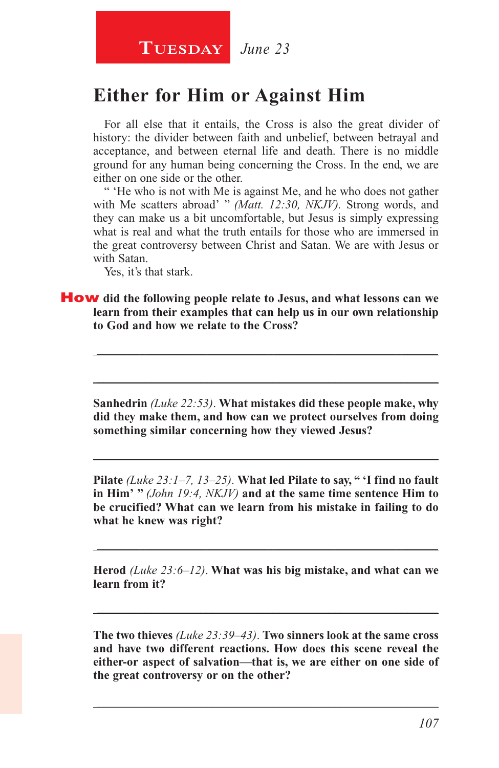# TUESDAY June 23

# **Either for Him or Against Him**

For all else that it entails, the Cross is also the great divider of history: the divider between faith and unbelief, between betrayal and acceptance, and between eternal life and death. There is no middle ground for any human being concerning the Cross. In the end, we are either on one side or the other.

" 'He who is not with Me is against Me, and he who does not gather with Me scatters abroad' " *(Matt. 12:30, NKJV)*. Strong words, and they can make us a bit uncomfortable, but Jesus is simply expressing what is real and what the truth entails for those who are immersed in the great controversy between Christ and Satan. We are with Jesus or with Satan.

Yes, it's that stark.

#### How **did the following people relate to Jesus, and what lessons can we learn from their examples that can help us in our own relationship to God and how we relate to the Cross?**

**Sanhedrin** *(Luke 22:53)*. **What mistakes did these people make, why did they make them, and how can we protect ourselves from doing something similar concerning how they viewed Jesus?**

**\_\_\_\_\_\_\_\_\_\_\_\_\_\_\_\_\_\_\_\_\_\_\_\_\_\_\_\_\_\_\_\_\_\_\_\_\_\_\_\_\_\_\_\_\_\_\_\_\_\_\_\_\_\_\_\_**

\_\_\_\_\_\_\_\_\_\_\_\_\_\_\_\_\_\_\_\_\_\_\_\_\_\_\_\_\_\_\_\_\_\_\_\_\_\_\_\_\_\_\_\_\_\_\_\_\_\_\_\_\_\_\_\_

\_\_\_\_\_\_\_\_\_\_\_\_\_\_\_\_\_\_\_\_\_\_\_\_\_\_\_\_\_\_\_\_\_\_\_\_\_\_\_\_\_\_\_\_\_\_\_\_\_\_\_\_\_\_\_\_

**Pilate** *(Luke 23:1–7, 13–25)*. **What led Pilate to say, " 'I find no fault in Him' "** *(John 19:4, NKJV)* **and at the same time sentence Him to be crucified? What can we learn from his mistake in failing to do what he knew was right?**

**Herod** *(Luke 23:6–12)*. **What was his big mistake, and what can we learn from it?**

**\_\_\_\_\_\_\_\_\_\_\_\_\_\_\_\_\_\_\_\_\_\_\_\_\_\_\_\_\_\_\_\_\_\_\_\_\_\_\_\_\_\_\_\_\_\_\_\_\_\_\_\_\_\_\_\_**

**\_\_\_\_\_\_\_\_\_\_\_\_\_\_\_\_\_\_\_\_\_\_\_\_\_\_\_\_\_\_\_\_\_\_\_\_\_\_\_\_\_\_\_\_\_\_\_\_\_\_\_\_\_\_\_\_**

**The two thieves** *(Luke 23:39–43)*. **Two sinners look at the same cross and have two different reactions. How does this scene reveal the either-or aspect of salvation—that is, we are either on one side of the great controversy or on the other?**

**\_\_\_\_\_\_\_\_\_\_\_\_\_\_\_\_\_\_\_\_\_\_\_\_\_\_\_\_\_\_\_\_\_\_\_\_\_\_\_\_\_\_\_\_\_\_\_\_\_\_\_\_\_\_\_\_**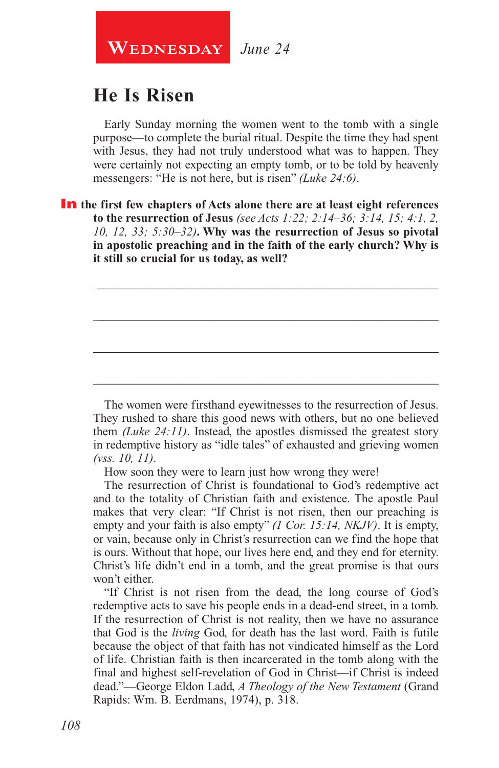

# **He Is Risen**

Early Sunday morning the women went to the tomb with a single purpose—to complete the burial ritual. Despite the time they had spent with Jesus, they had not truly understood what was to happen. They were certainly not expecting an empty tomb, or to be told by heavenly messengers: "He is not here, but is risen" *(Luke 24:6)*.

In **the first few chapters of Acts alone there are at least eight references to the resurrection of Jesus** *(see Acts 1:22; 2:14–36; 3:14, 15; 4:1, 2, 10, 12, 33; 5:30–32)***. Why was the resurrection of Jesus so pivotal in apostolic preaching and in the faith of the early church? Why is it still so crucial for us today, as well?**

**\_\_\_\_\_\_\_\_\_\_\_\_\_\_\_\_\_\_\_\_\_\_\_\_\_\_\_\_\_\_\_\_\_\_\_\_\_\_\_\_\_\_\_\_\_\_\_\_\_\_\_\_\_\_\_\_**

\_\_\_\_\_\_\_\_\_\_\_\_\_\_\_\_\_\_\_\_\_\_\_\_\_\_\_\_\_\_\_\_\_\_\_\_\_\_\_\_\_\_\_\_\_\_\_\_\_\_\_\_\_\_\_\_

\_\_\_\_\_\_\_\_\_\_\_\_\_\_\_\_\_\_\_\_\_\_\_\_\_\_\_\_\_\_\_\_\_\_\_\_\_\_\_\_\_\_\_\_\_\_\_\_\_\_\_\_\_\_\_\_

**\_\_\_\_\_\_\_\_\_\_\_\_\_\_\_\_\_\_\_\_\_\_\_\_\_\_\_\_\_\_\_\_\_\_\_\_\_\_\_\_\_\_\_\_\_\_\_\_\_\_\_\_\_\_\_\_**

The women were firsthand eyewitnesses to the resurrection of Jesus. They rushed to share this good news with others, but no one believed them *(Luke 24:11)*. Instead, the apostles dismissed the greatest story in redemptive history as "idle tales" of exhausted and grieving women *(vss. 10, 11)*.

How soon they were to learn just how wrong they were!

The resurrection of Christ is foundational to God's redemptive act and to the totality of Christian faith and existence. The apostle Paul makes that very clear: "If Christ is not risen, then our preaching is empty and your faith is also empty" *(1 Cor. 15:14, NKJV)*. It is empty, or vain, because only in Christ's resurrection can we find the hope that is ours. Without that hope, our lives here end, and they end for eternity. Christ's life didn't end in a tomb, and the great promise is that ours won't either.

"If Christ is not risen from the dead, the long course of God's redemptive acts to save his people ends in a dead-end street, in a tomb. If the resurrection of Christ is not reality, then we have no assurance that God is the *living* God, for death has the last word. Faith is futile because the object of that faith has not vindicated himself as the Lord of life. Christian faith is then incarcerated in the tomb along with the final and highest self-revelation of God in Christ—if Christ is indeed dead."—George Eldon Ladd, *A Theology of the New Testament* (Grand Rapids: Wm. B. Eerdmans, 1974), p. 318.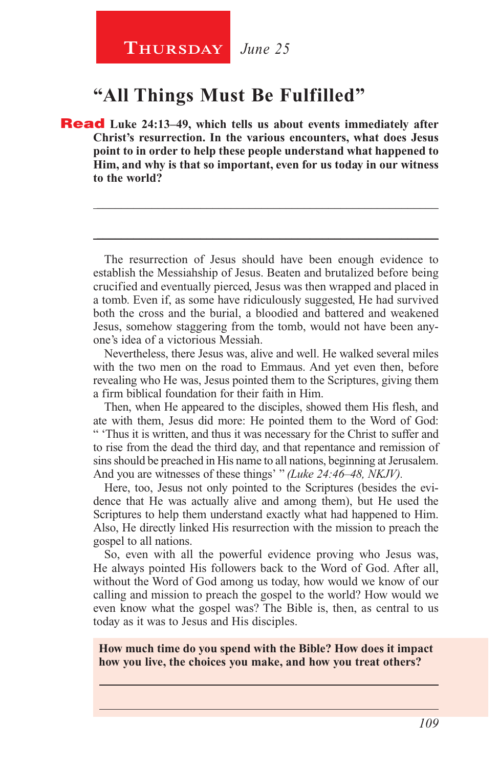# **"All Things Must Be Fulfilled"**

Read **Luke 24:13–49, which tells us about events immediately after Christ's resurrection. In the various encounters, what does Jesus point to in order to help these people understand what happened to Him, and why is that so important, even for us today in our witness to the world?**

The resurrection of Jesus should have been enough evidence to establish the Messiahship of Jesus. Beaten and brutalized before being crucified and eventually pierced, Jesus was then wrapped and placed in a tomb. Even if, as some have ridiculously suggested, He had survived both the cross and the burial, a bloodied and battered and weakened Jesus, somehow staggering from the tomb, would not have been anyone's idea of a victorious Messiah.

**\_\_\_\_\_\_\_\_\_\_\_\_\_\_\_\_\_\_\_\_\_\_\_\_\_\_\_\_\_\_\_\_\_\_\_\_\_\_\_\_\_\_\_\_\_\_\_\_\_\_\_\_\_\_\_\_**

**\_\_\_\_\_\_\_\_\_\_\_\_\_\_\_\_\_\_\_\_\_\_\_\_\_\_\_\_\_\_\_\_\_\_\_\_\_\_\_\_\_\_\_\_\_\_\_\_\_\_\_\_\_\_\_\_**

Nevertheless, there Jesus was, alive and well. He walked several miles with the two men on the road to Emmaus. And yet even then, before revealing who He was, Jesus pointed them to the Scriptures, giving them a firm biblical foundation for their faith in Him.

Then, when He appeared to the disciples, showed them His flesh, and ate with them, Jesus did more: He pointed them to the Word of God: " 'Thus it is written, and thus it was necessary for the Christ to suffer and to rise from the dead the third day, and that repentance and remission of sins should be preached in His name to all nations, beginning at Jerusalem. And you are witnesses of these things' " *(Luke 24:46–48, NKJV).*

Here, too, Jesus not only pointed to the Scriptures (besides the evidence that He was actually alive and among them), but He used the Scriptures to help them understand exactly what had happened to Him. Also, He directly linked His resurrection with the mission to preach the gospel to all nations.

So, even with all the powerful evidence proving who Jesus was, He always pointed His followers back to the Word of God. After all, without the Word of God among us today, how would we know of our calling and mission to preach the gospel to the world? How would we even know what the gospel was? The Bible is, then, as central to us today as it was to Jesus and His disciples.

**How much time do you spend with the Bible? How does it impact how you live, the choices you make, and how you treat others?**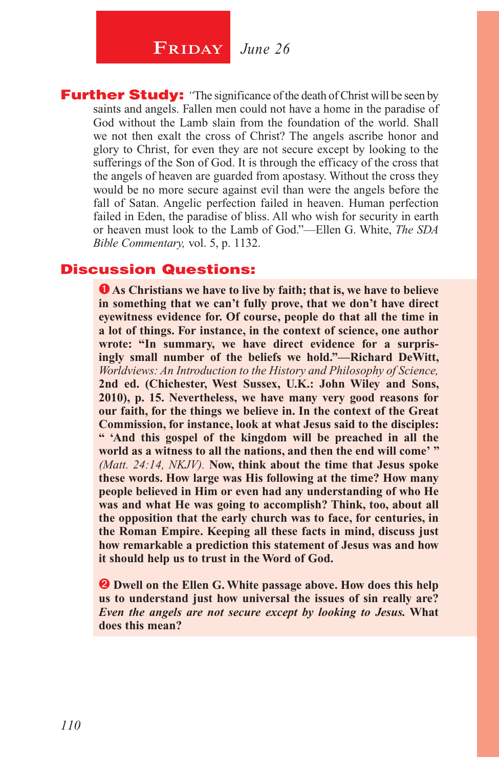**FRIDAY** *June 26* 

**Further Study:** "The significance of the death of Christ will be seen by saints and angels. Fallen men could not have a home in the paradise of God without the Lamb slain from the foundation of the world. Shall we not then exalt the cross of Christ? The angels ascribe honor and glory to Christ, for even they are not secure except by looking to the sufferings of the Son of God. It is through the efficacy of the cross that the angels of heaven are guarded from apostasy. Without the cross they would be no more secure against evil than were the angels before the fall of Satan. Angelic perfection failed in heaven. Human perfection failed in Eden, the paradise of bliss. All who wish for security in earth or heaven must look to the Lamb of God."—Ellen G. White, *The SDA Bible Commentary,* vol. 5, p. 1132.

#### Discussion Questions:

**O** As Christians we have to live by faith; that is, we have to believe **in something that we can't fully prove, that we don't have direct eyewitness evidence for. Of course, people do that all the time in a lot of things. For instance, in the context of science, one author wrote: "In summary, we have direct evidence for a surprisingly small number of the beliefs we hold."—Richard DeWitt,**  *Worldviews: An Introduction to the History and Philosophy of Science,* **2nd ed. (Chichester, West Sussex, U.K.: John Wiley and Sons, 2010), p. 15. Nevertheless, we have many very good reasons for our faith, for the things we believe in. In the context of the Great Commission, for instance, look at what Jesus said to the disciples: " 'And this gospel of the kingdom will be preached in all the world as a witness to all the nations, and then the end will come' "**  *(Matt. 24:14, NKJV).* **Now, think about the time that Jesus spoke these words. How large was His following at the time? How many people believed in Him or even had any understanding of who He was and what He was going to accomplish? Think, too, about all the opposition that the early church was to face, for centuries, in the Roman Empire. Keeping all these facts in mind, discuss just how remarkable a prediction this statement of Jesus was and how it should help us to trust in the Word of God.**

**2** Dwell on the Ellen G. White passage above. How does this help **us to understand just how universal the issues of sin really are?**  *Even the angels are not secure except by looking to Jesus.* **What does this mean?**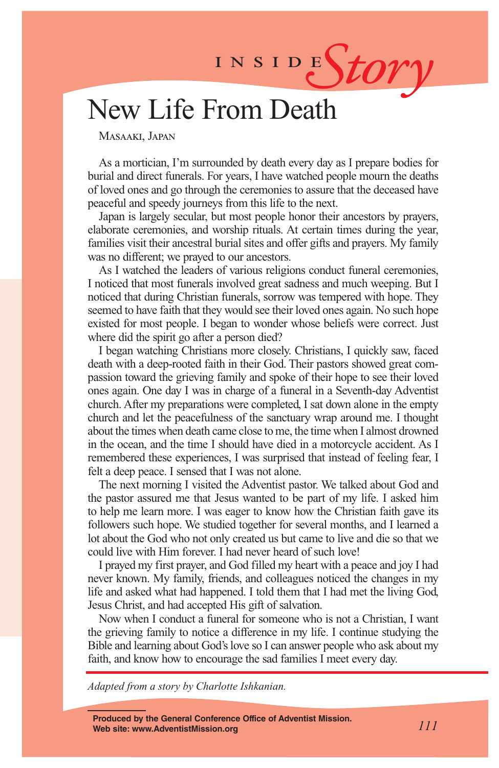INSIDES*tory* 

# New Life From Death

Masaaki, Japan

As a mortician, I'm surrounded by death every day as I prepare bodies for burial and direct funerals. For years, I have watched people mourn the deaths of loved ones and go through the ceremonies to assure that the deceased have peaceful and speedy journeys from this life to the next.

Japan is largely secular, but most people honor their ancestors by prayers, elaborate ceremonies, and worship rituals. At certain times during the year, families visit their ancestral burial sites and offer gifts and prayers. My family was no different; we prayed to our ancestors.

As I watched the leaders of various religions conduct funeral ceremonies, I noticed that most funerals involved great sadness and much weeping. But I noticed that during Christian funerals, sorrow was tempered with hope. They seemed to have faith that they would see their loved ones again. No such hope existed for most people. I began to wonder whose beliefs were correct. Just where did the spirit go after a person died?

I began watching Christians more closely. Christians, I quickly saw, faced death with a deep-rooted faith in their God. Their pastors showed great compassion toward the grieving family and spoke of their hope to see their loved ones again. One day I was in charge of a funeral in a Seventh-day Adventist church. After my preparations were completed, I sat down alone in the empty church and let the peacefulness of the sanctuary wrap around me. I thought about the times when death came close to me, the time when I almost drowned in the ocean, and the time I should have died in a motorcycle accident. As I remembered these experiences, I was surprised that instead of feeling fear, I felt a deep peace. I sensed that I was not alone.

The next morning I visited the Adventist pastor. We talked about God and the pastor assured me that Jesus wanted to be part of my life. I asked him to help me learn more. I was eager to know how the Christian faith gave its followers such hope. We studied together for several months, and I learned a lot about the God who not only created us but came to live and die so that we could live with Him forever. I had never heard of such love!

I prayed my first prayer, and God filled my heart with a peace and joy I had never known. My family, friends, and colleagues noticed the changes in my life and asked what had happened. I told them that I had met the living God, Jesus Christ, and had accepted His gift of salvation.

Now when I conduct a funeral for someone who is not a Christian, I want the grieving family to notice a difference in my life. I continue studying the Bible and learning about God's love so I can answer people who ask about my faith, and know how to encourage the sad families I meet every day.

*Adapted from a story by Charlotte Ishkanian.*

**Produced by the General Conference Office of Adventist Mission. Web site: www.AdventistMission.org** *111*